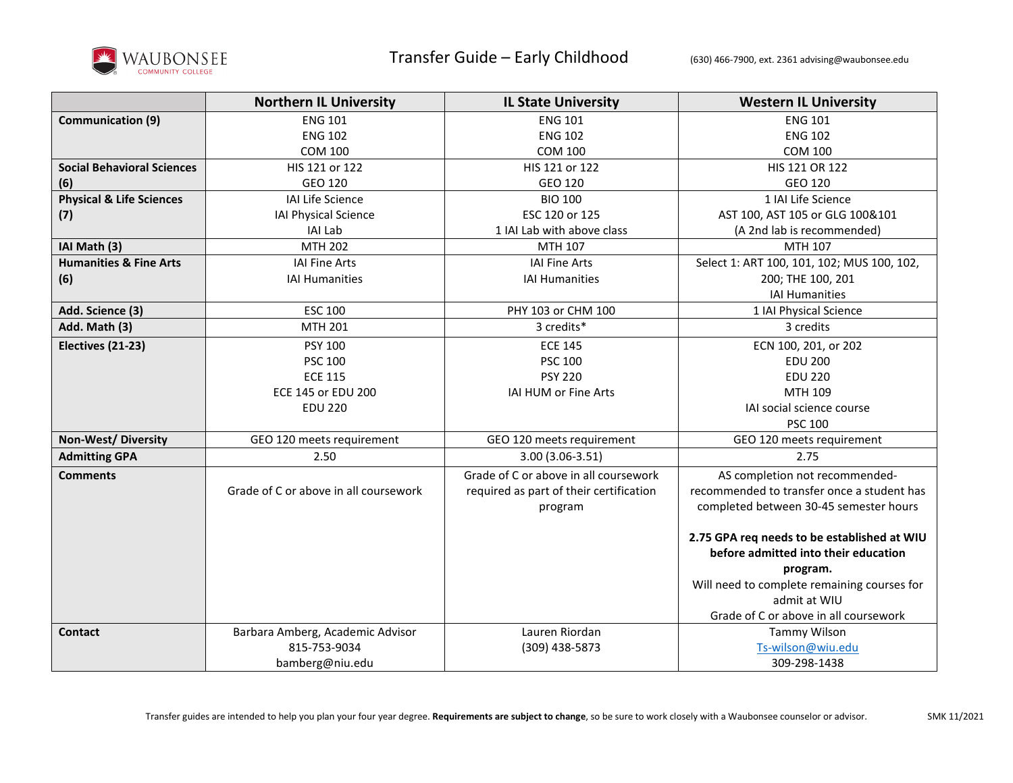

|                                     | <b>Northern IL University</b>         | <b>IL State University</b>              | <b>Western IL University</b>                |
|-------------------------------------|---------------------------------------|-----------------------------------------|---------------------------------------------|
| <b>Communication (9)</b>            | <b>ENG 101</b>                        | <b>ENG 101</b>                          | <b>ENG 101</b>                              |
|                                     | <b>ENG 102</b>                        | <b>ENG 102</b>                          | <b>ENG 102</b>                              |
|                                     | <b>COM 100</b>                        | <b>COM 100</b>                          | <b>COM 100</b>                              |
| <b>Social Behavioral Sciences</b>   | HIS 121 or 122                        | HIS 121 or 122                          | HIS 121 OR 122                              |
| (6)                                 | GEO 120                               | GEO 120                                 | GEO 120                                     |
| <b>Physical &amp; Life Sciences</b> | IAI Life Science                      | <b>BIO 100</b>                          | 1 IAI Life Science                          |
| (7)                                 | IAI Physical Science                  | ESC 120 or 125                          | AST 100, AST 105 or GLG 100&101             |
|                                     | <b>IAI Lab</b>                        | 1 IAI Lab with above class              | (A 2nd lab is recommended)                  |
| IAI Math (3)                        | <b>MTH 202</b>                        | MTH 107                                 | MTH 107                                     |
| <b>Humanities &amp; Fine Arts</b>   | <b>IAI Fine Arts</b>                  | <b>IAI Fine Arts</b>                    | Select 1: ART 100, 101, 102; MUS 100, 102,  |
| (6)                                 | <b>IAI Humanities</b>                 | <b>IAI Humanities</b>                   | 200; THE 100, 201                           |
|                                     |                                       |                                         | <b>IAI Humanities</b>                       |
| Add. Science (3)                    | <b>ESC 100</b>                        | PHY 103 or CHM 100                      | 1 IAI Physical Science                      |
| Add. Math (3)                       | <b>MTH 201</b>                        | 3 credits*                              | 3 credits                                   |
| Electives (21-23)                   | PSY 100                               | <b>ECE 145</b>                          | ECN 100, 201, or 202                        |
|                                     | <b>PSC 100</b>                        | <b>PSC 100</b>                          | <b>EDU 200</b>                              |
|                                     | <b>ECE 115</b>                        | <b>PSY 220</b>                          | <b>EDU 220</b>                              |
|                                     | <b>ECE 145 or EDU 200</b>             | IAI HUM or Fine Arts                    | MTH 109                                     |
|                                     | <b>EDU 220</b>                        |                                         | IAI social science course                   |
|                                     |                                       |                                         | <b>PSC 100</b>                              |
| <b>Non-West/Diversity</b>           | GEO 120 meets requirement             | GEO 120 meets requirement               | GEO 120 meets requirement                   |
| <b>Admitting GPA</b>                | 2.50                                  | 3.00 (3.06-3.51)                        | 2.75                                        |
| <b>Comments</b>                     |                                       | Grade of C or above in all coursework   | AS completion not recommended-              |
|                                     | Grade of C or above in all coursework | required as part of their certification | recommended to transfer once a student has  |
|                                     |                                       | program                                 | completed between 30-45 semester hours      |
|                                     |                                       |                                         |                                             |
|                                     |                                       |                                         | 2.75 GPA req needs to be established at WIU |
|                                     |                                       |                                         | before admitted into their education        |
|                                     |                                       |                                         | program.                                    |
|                                     |                                       |                                         | Will need to complete remaining courses for |
|                                     |                                       |                                         | admit at WIU                                |
|                                     |                                       |                                         | Grade of C or above in all coursework       |
| <b>Contact</b>                      | Barbara Amberg, Academic Advisor      | Lauren Riordan                          | Tammy Wilson                                |
|                                     | 815-753-9034                          | (309) 438-5873                          | Ts-wilson@wiu.edu                           |
|                                     | bamberg@niu.edu                       |                                         | 309-298-1438                                |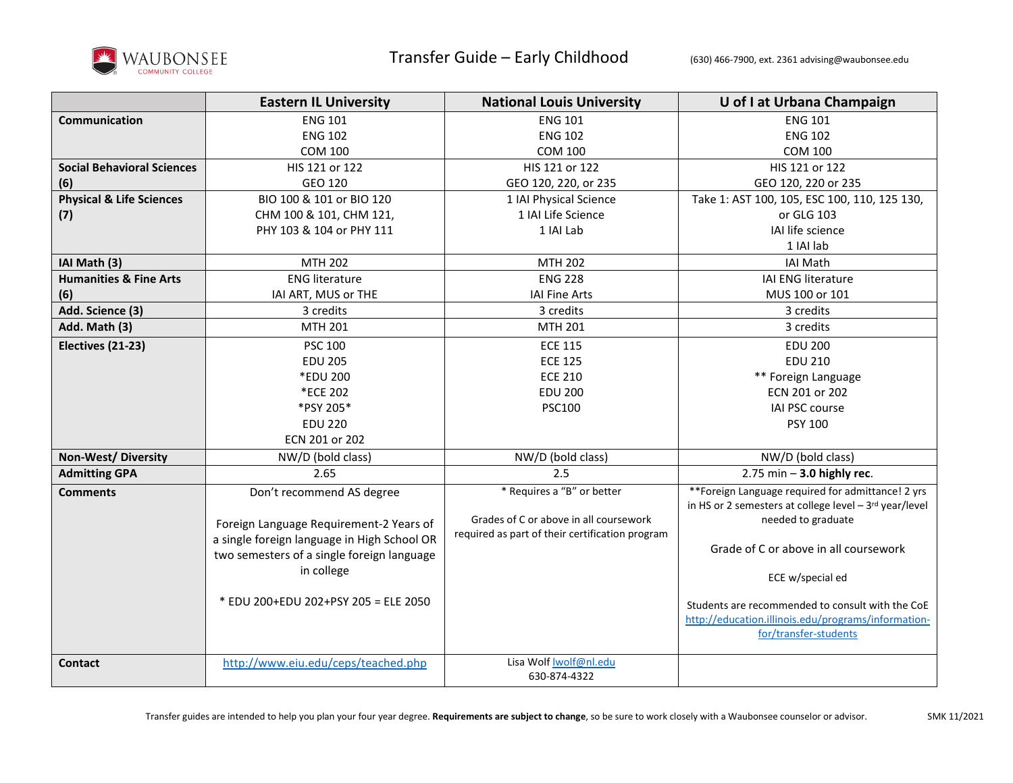

|                                     | <b>Eastern IL University</b>                                                                                                                                                                                            | <b>National Louis University</b>                                                                                        | U of I at Urbana Champaign                                                                                                                                                                                                                                                                                                                      |
|-------------------------------------|-------------------------------------------------------------------------------------------------------------------------------------------------------------------------------------------------------------------------|-------------------------------------------------------------------------------------------------------------------------|-------------------------------------------------------------------------------------------------------------------------------------------------------------------------------------------------------------------------------------------------------------------------------------------------------------------------------------------------|
| Communication                       | <b>ENG 101</b>                                                                                                                                                                                                          | <b>ENG 101</b>                                                                                                          | <b>ENG 101</b>                                                                                                                                                                                                                                                                                                                                  |
|                                     | <b>ENG 102</b>                                                                                                                                                                                                          | <b>ENG 102</b>                                                                                                          | <b>ENG 102</b>                                                                                                                                                                                                                                                                                                                                  |
|                                     | <b>COM 100</b>                                                                                                                                                                                                          | <b>COM 100</b>                                                                                                          | <b>COM 100</b>                                                                                                                                                                                                                                                                                                                                  |
| <b>Social Behavioral Sciences</b>   | HIS 121 or 122                                                                                                                                                                                                          | HIS 121 or 122                                                                                                          | HIS 121 or 122                                                                                                                                                                                                                                                                                                                                  |
| (6)                                 | GEO 120                                                                                                                                                                                                                 | GEO 120, 220, or 235                                                                                                    | GEO 120, 220 or 235                                                                                                                                                                                                                                                                                                                             |
| <b>Physical &amp; Life Sciences</b> | BIO 100 & 101 or BIO 120                                                                                                                                                                                                | 1 IAI Physical Science                                                                                                  | Take 1: AST 100, 105, ESC 100, 110, 125 130,                                                                                                                                                                                                                                                                                                    |
| (7)                                 | CHM 100 & 101, CHM 121,                                                                                                                                                                                                 | 1 IAI Life Science                                                                                                      | or GLG 103                                                                                                                                                                                                                                                                                                                                      |
|                                     | PHY 103 & 104 or PHY 111                                                                                                                                                                                                | 1 IAI Lab                                                                                                               | IAI life science                                                                                                                                                                                                                                                                                                                                |
|                                     |                                                                                                                                                                                                                         |                                                                                                                         | 1 IAI lab                                                                                                                                                                                                                                                                                                                                       |
| IAI Math (3)                        | MTH 202                                                                                                                                                                                                                 | <b>MTH 202</b>                                                                                                          | <b>IAI Math</b>                                                                                                                                                                                                                                                                                                                                 |
| <b>Humanities &amp; Fine Arts</b>   | <b>ENG literature</b>                                                                                                                                                                                                   | <b>ENG 228</b>                                                                                                          | IAI ENG literature                                                                                                                                                                                                                                                                                                                              |
| (6)                                 | IAI ART, MUS or THE                                                                                                                                                                                                     | <b>IAI Fine Arts</b>                                                                                                    | MUS 100 or 101                                                                                                                                                                                                                                                                                                                                  |
| Add. Science (3)                    | 3 credits                                                                                                                                                                                                               | 3 credits                                                                                                               | 3 credits                                                                                                                                                                                                                                                                                                                                       |
| Add. Math (3)                       | MTH 201                                                                                                                                                                                                                 | <b>MTH 201</b>                                                                                                          | 3 credits                                                                                                                                                                                                                                                                                                                                       |
| Electives (21-23)                   | <b>PSC 100</b>                                                                                                                                                                                                          | <b>ECE 115</b>                                                                                                          | <b>EDU 200</b>                                                                                                                                                                                                                                                                                                                                  |
|                                     | <b>EDU 205</b>                                                                                                                                                                                                          | <b>ECE 125</b>                                                                                                          | <b>EDU 210</b>                                                                                                                                                                                                                                                                                                                                  |
|                                     | *EDU 200                                                                                                                                                                                                                | <b>ECE 210</b>                                                                                                          | ** Foreign Language                                                                                                                                                                                                                                                                                                                             |
|                                     | *ECE 202                                                                                                                                                                                                                | <b>EDU 200</b>                                                                                                          | ECN 201 or 202                                                                                                                                                                                                                                                                                                                                  |
|                                     | *PSY 205*                                                                                                                                                                                                               | <b>PSC100</b>                                                                                                           | IAI PSC course                                                                                                                                                                                                                                                                                                                                  |
|                                     | <b>EDU 220</b>                                                                                                                                                                                                          |                                                                                                                         | <b>PSY 100</b>                                                                                                                                                                                                                                                                                                                                  |
|                                     | ECN 201 or 202                                                                                                                                                                                                          |                                                                                                                         |                                                                                                                                                                                                                                                                                                                                                 |
| <b>Non-West/ Diversity</b>          | NW/D (bold class)                                                                                                                                                                                                       | NW/D (bold class)                                                                                                       | NW/D (bold class)                                                                                                                                                                                                                                                                                                                               |
| <b>Admitting GPA</b>                | 2.65                                                                                                                                                                                                                    | 2.5                                                                                                                     | $2.75$ min $-$ 3.0 highly rec.                                                                                                                                                                                                                                                                                                                  |
| <b>Comments</b>                     | Don't recommend AS degree<br>Foreign Language Requirement-2 Years of<br>a single foreign language in High School OR<br>two semesters of a single foreign language<br>in college<br>* EDU 200+EDU 202+PSY 205 = ELE 2050 | * Requires a "B" or better<br>Grades of C or above in all coursework<br>required as part of their certification program | **Foreign Language required for admittance! 2 yrs<br>in HS or 2 semesters at college level $-3$ <sup>rd</sup> year/level<br>needed to graduate<br>Grade of C or above in all coursework<br>ECE w/special ed<br>Students are recommended to consult with the CoE<br>http://education.illinois.edu/programs/information-<br>for/transfer-students |
| <b>Contact</b>                      | http://www.eiu.edu/ceps/teached.php                                                                                                                                                                                     | Lisa Wolf Iwolf@nl.edu<br>630-874-4322                                                                                  |                                                                                                                                                                                                                                                                                                                                                 |